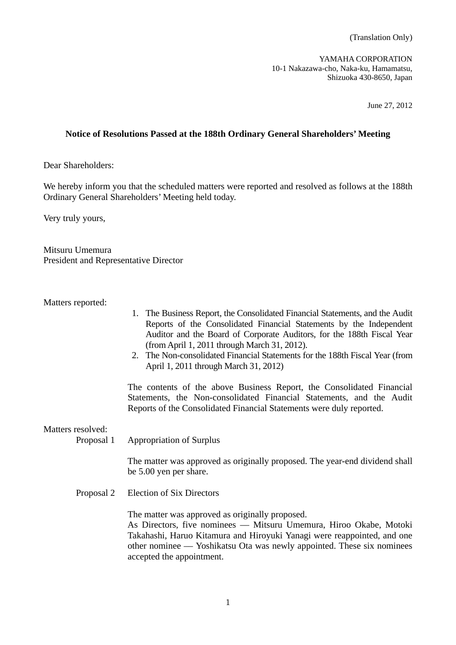YAMAHA CORPORATION 10-1 Nakazawa-cho, Naka-ku, Hamamatsu, Shizuoka 430-8650, Japan

June 27, 2012

## **Notice of Resolutions Passed at the 188th Ordinary General Shareholders' Meeting**

Dear Shareholders:

We hereby inform you that the scheduled matters were reported and resolved as follows at the 188th Ordinary General Shareholders' Meeting held today.

Very truly yours,

Mitsuru Umemura President and Representative Director

Matters reported:

- 1. The Business Report, the Consolidated Financial Statements, and the Audit Reports of the Consolidated Financial Statements by the Independent Auditor and the Board of Corporate Auditors, for the 188th Fiscal Year (from April 1, 2011 through March 31, 2012).
- 2. The Non-consolidated Financial Statements for the 188th Fiscal Year (from April 1, 2011 through March 31, 2012)

 The contents of the above Business Report, the Consolidated Financial Statements, the Non-consolidated Financial Statements, and the Audit Reports of the Consolidated Financial Statements were duly reported.

Matters resolved:

Proposal 1 Appropriation of Surplus

 The matter was approved as originally proposed. The year-end dividend shall be 5.00 yen per share.

Proposal 2 Election of Six Directors

The matter was approved as originally proposed.

 As Directors, five nominees –– Mitsuru Umemura, Hiroo Okabe, Motoki Takahashi, Haruo Kitamura and Hiroyuki Yanagi were reappointed, and one other nominee –– Yoshikatsu Ota was newly appointed. These six nominees accepted the appointment.